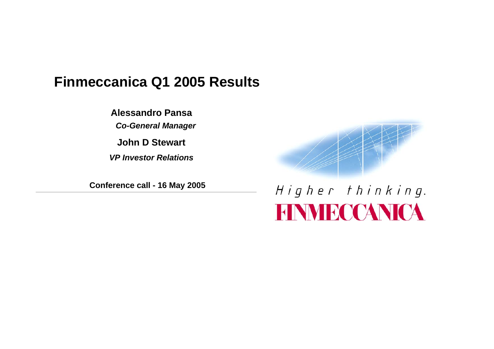### **Finmeccanica Q1 2005 Results**

**Alessandro Pansa**

*Co-General Manager*

**John D Stewart**

*VP Investor Relations* 

**Conference call - 16 May 2005**

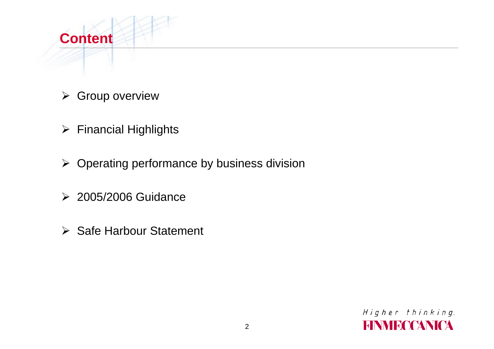

- $\triangleright$  Group overview
- ¾ Financial Highlights
- $\triangleright$  Operating performance by business division
- ¾ 2005/2006 Guidance
- **≻** Safe Harbour Statement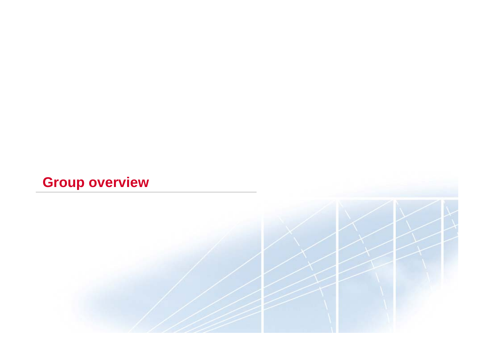## **Group overview**

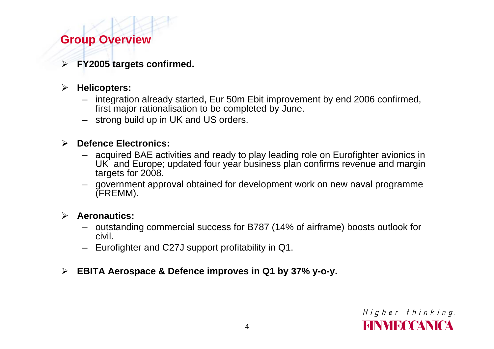### **Group Overview**

¾ **FY2005 targets confirmed.**

#### $\blacktriangleright$ **Helicopters:**

- integration already started, Eur 50m Ebit improvement by end 2006 confirmed, first major rationalisation to be completed by June.
- strong build up in UK and US orders.

### ¾ **Defence Electronics:**

- acquired BAE activities and ready to play leading role on Eurofighter avionics in UK and Europe; updated four year business plan confirms revenue and margin targets for 2008.
- government approval obtained for development work on new naval programme (FREMM).

#### ¾ **Aeronautics:**

- outstanding commercial success for B787 (14% of airframe) boosts outlook for civil.
- Eurofighter and C27J support profitability in Q1.
- ¾ **EBITA Aerospace & Defence improves in Q1 by 37% y-o-y.**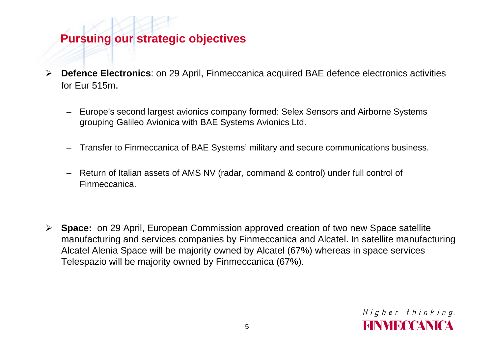### **Pursuing our strategic objectives**

- $\blacktriangleright$  **Defence Electronics**: on 29 April, Finmeccanica acquired BAE defence electronics activities for Eur 515m.
	- Europe's second largest avionics company formed: Selex Sensors and Airborne Systems grouping Galileo Avionica with BAE Systems Avionics Ltd.
	- Transfer to Finmeccanica of BAE Systems' military and secure communications business.
	- Return of Italian assets of AMS NV (radar, command & control) under full control of Finmeccanica.
- ¾ **Space:** on 29 April, European Commission approved creation of two new Space satellite manufacturing and services companies by Finmeccanica and Alcatel. In satellite manufacturing Alcatel Alenia Space will be majority owned by Alcatel (67%) whereas in space services Telespazio will be majority owned by Finmeccanica (67%).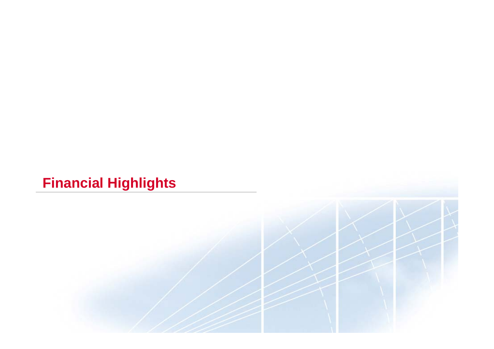## **Financial Highlights**

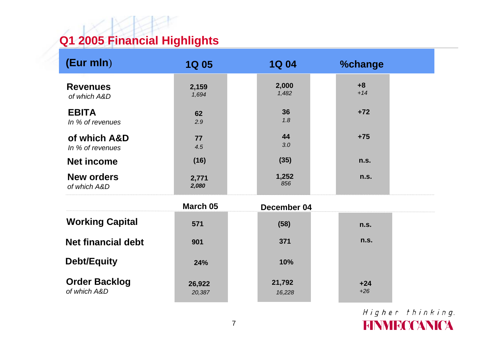## **Q1 2005 Financial Highlights**

| (Eur mln)                            | <b>1Q 05</b>     | <b>1Q 04</b>     | <b>%change</b> |  |
|--------------------------------------|------------------|------------------|----------------|--|
| <b>Revenues</b><br>of which A&D      | 2,159<br>1,694   | 2,000<br>1,482   | $+8$<br>$+14$  |  |
| <b>EBITA</b><br>In % of revenues     | 62<br>2.9        | 36<br>1.8        | $+72$          |  |
| of which A&D<br>In % of revenues     | 77<br>4.5        | 44<br>3.0        | $+75$          |  |
| <b>Net income</b>                    | (16)             | (35)             | n.s.           |  |
| <b>New orders</b><br>of which A&D    | 2,771<br>2,080   | 1,252<br>856     | n.s.           |  |
|                                      | March 05         | December 04      |                |  |
| <b>Working Capital</b>               | 571              | (58)             | n.s.           |  |
| <b>Net financial debt</b>            | 901              | 371              | n.s.           |  |
| <b>Debt/Equity</b>                   | 24%              | 10%              |                |  |
| <b>Order Backlog</b><br>of which A&D | 26,922<br>20,387 | 21,792<br>16,228 | $+24$<br>$+26$ |  |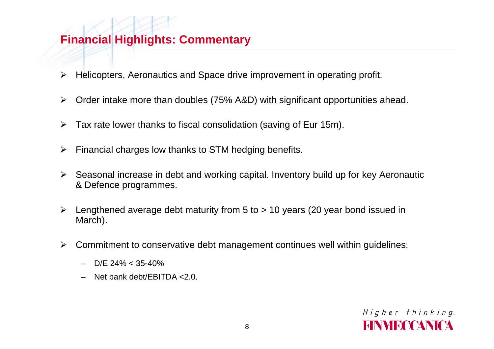### **Financial Highlights: Commentary**

- $\blacktriangleright$ Helicopters, Aeronautics and Space drive improvement in operating profit.
- $\blacktriangleright$ Order intake more than doubles (75% A&D) with significant opportunities ahead.
- $\blacktriangleright$ Tax rate lower thanks to fiscal consolidation (saving of Eur 15m).
- $\blacktriangleright$ Financial charges low thanks to STM hedging benefits.
- ¾ Seasonal increase in debt and working capital. Inventory build up for key Aeronautic & Defence programmes.
- ¾ Lengthened average debt maturity from 5 to > 10 years (20 year bond issued in March).
- ¾ Commitment to conservative debt management continues well within guidelines:
	- –D/E 24% < 35-40%
	- –Net bank debt/EBITDA <2.0.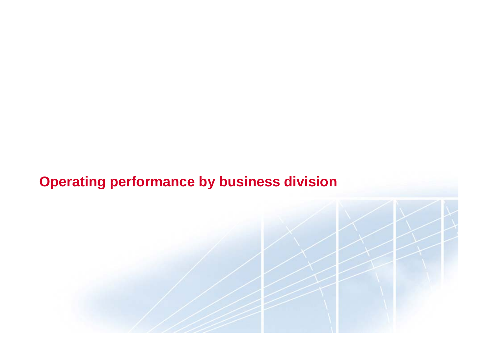### **Operating performance by business division**

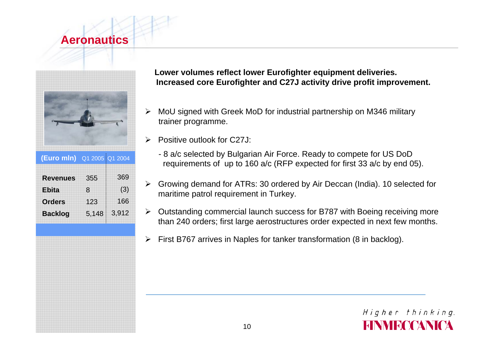### **Aeronautics**



**RevenuesEbitaOrdersBacklog (Euro mln)** Q1 2005 Q1 2004 369(3) 1663,912 35581235,148

**Lower volumes reflect lower Eurofighter equipment deliveries. Increased core Eurofighter and C27J activity drive profit improvement.**

- ¾ MoU signed with Greek MoD for industrial partnership on M346 military trainer programme.
- ¾ Positive outlook for C27J:
	- 8 a/c selected by Bulgarian Air Force. Ready to compete for US DoD requirements of up to 160 a/c (RFP expected for first 33 a/c by end 05).
- ¾ Growing demand for ATRs: 30 ordered by Air Deccan (India). 10 selected for maritime patrol requirement in Turkey.
- $\blacktriangleright$  Outstanding commercial launch success for B787 with Boeing receiving more than 240 orders; first large aerostructures order expected in next few months.
- ¾First B767 arrives in Naples for tanker transformation (8 in backlog).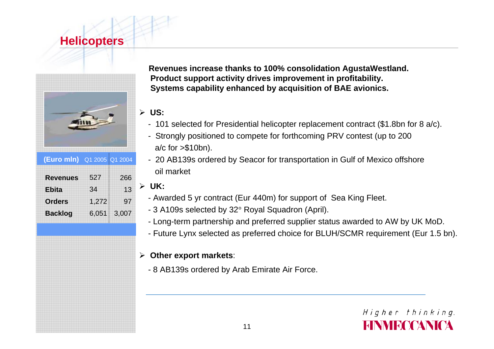### **Helicopters**



**(Euro mln)** Q1 2005 Q1 2004

| 266<br>13 |
|-----------|
| 97        |
| 3,007     |
|           |

**Revenues increase thanks to 100% consolidation AgustaWestland. Product support activity drives improvement in profitability. Systems capability enhanced by acquisition of BAE avionics.**

#### ¾ **US:**

- 101 selected for Presidential helicopter replacement contract (\$1.8bn for 8 a/c).
- Strongly positioned to compete for forthcoming PRV contest (up to 200 a/c for >\$10bn).
- 20 AB139s ordered by Seacor for transportation in Gulf of Mexico offshore oil market

### ¾ **UK:**

- Awarded 5 yr contract (Eur 440m) for support of Sea King Fleet.
- 3 A109s selected by 32° Royal Squadron (April).
- Long-term partnership and preferred supplier status awarded to AW by UK MoD.
- Future Lynx selected as preferred choice for BLUH/SCMR requirement (Eur 1.5 bn).

#### ¾ **Other export markets**:

- 8 AB139s ordered by Arab Emirate Air Force.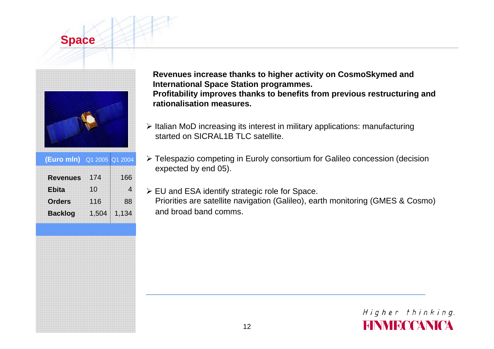### **Space**



**(Euro mln)** Q1 2005 Q1 2004

| 174   | 166   |
|-------|-------|
| 10    | 4     |
| 116   | 88    |
| 1,504 | 1,134 |
|       |       |

**Revenues increase thanks to higher activity on CosmoSkymed and International Space Station programmes. Profitability improves thanks to benefits from previous restructuring and rationalisation measures.**

- ¾ Italian MoD increasing its interest in military applications: manufacturing started on SICRAL1B TLC satellite.
- ¾ Telespazio competing in Euroly consortium for Galileo concession (decision expected by end 05).
- ¾ EU and ESA identify strategic role for Space. Priorities are satellite navigation (Galileo), earth monitoring (GMES & Cosmo) and broad band comms.

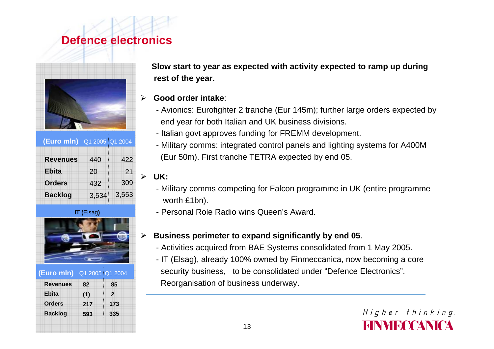### **Defence electronics**



| <b>(Euro mln)</b> Q1 2005 Q1 2004 |       |       |  |
|-----------------------------------|-------|-------|--|
| <b>Revenues</b>                   | 440   | 422   |  |
| <b>Ebita</b>                      | 20    | 21    |  |
| <b>Orders</b>                     | 432   | 309   |  |
| <b>Backlog</b>                    | 3,534 | 3,553 |  |
|                                   |       |       |  |

**IT (**Elsag**)**



| <b>(Euro mln)</b> Q1 2005 Q1 2004 |     |                |
|-----------------------------------|-----|----------------|
| <b>Revenues</b>                   | 82  | 85             |
| <b>Ebita</b>                      | (1) | $\overline{2}$ |
| <b>Orders</b>                     | 217 | 173            |
| <b>Backlog</b>                    | 593 | 335            |
|                                   |     |                |

**Slow start to year as expected with activity expected to ramp up during rest of the year.**

- ¾ **Good order intake**:
	- Avionics: Eurofighter 2 tranche (Eur 145m); further large orders expected by end year for both Italian and UK business divisions.
	- Italian govt approves funding for FREMM development.
	- Military comms: integrated control panels and lighting systems for A400M (Eur 50m). First tranche TETRA expected by end 05.

#### ¾ **UK:**

- Military comms competing for Falcon programme in UK (entire programme worth £1bn).
- Personal Role Radio wins Queen's Award.

#### $\blacktriangleright$ **Business perimeter to expand significantly by end 05**.

- Activities acquired from BAE Systems consolidated from 1 May 2005.
- IT (Elsag), already 100% owned by Finmeccanica, now becoming a core security business, to be consolidated under "Defence Electronics". Reorganisation of business underway.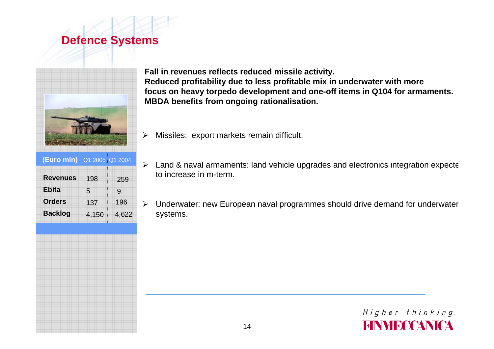### **Defence Systems**



**Fall in revenues reflects reduced missile activity. Reduced profitability due to less profitable mix in underwater with more focus on heavy torpedo development and one-off items in Q104 for armaments. MBDA benefits from ongoing rationalisation.**

- **RevenuesEbitaOrdersBacklog** 25991964,622 19851374,150 **(Euro mln)** Q1 2005 Q1 2004
- $\blacktriangleright$ Missiles: export markets remain difficult.
- $\blacktriangleright$  Land & naval armaments: land vehicle upgrades and electronics integration expecte to increase in m-term.
- $\blacktriangleright$  Underwater: new European naval programmes should drive demand for underwater systems.

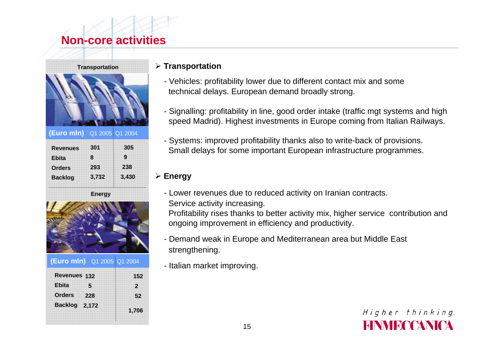### **Non-core activities**



|                            | <b>Energy</b> |       |
|----------------------------|---------------|-------|
| <b>Backlog</b>             | 3,732         | 3,430 |
| <b>Orders</b>              | 293           | 238   |
| <b>Ebita</b>               | 8             | 9     |
| <b>Revenues</b>            | 301           | 305   |
| (Euro mln) Q1 2005 Q1 2004 |               |       |



|                | (Euro mln) Q1 2005 Q1 2004 |                |
|----------------|----------------------------|----------------|
| Revenues 132   |                            | 152            |
| <b>Ebita</b>   | 5                          | $\overline{2}$ |
| <b>Orders</b>  | 228                        | 52             |
| <b>Backlog</b> | 2,172                      | 1,706          |

#### ¾ **Transportation**

- Vehicles: profitability lower due to different contact mix and some technical delays. European demand broadly strong.
- Signalling: profitability in line, good order intake (traffic mgt systems and high speed Madrid). Highest investments in Europe coming from Italian Railways.
- Systems: improved profitability thanks also to write-back of provisions. Small delays for some important European infrastructure programmes.

### ¾ **Energy**

- Lower revenues due to reduced activity on Iranian contracts.
- Service activity increasing.

Profitability rises thanks to better activity mix, higher service contribution and ongoing improvement in efficiency and productivity.

- Demand weak in Europe and Mediterranean area but Middle East strengthening.
- Italian market improving.

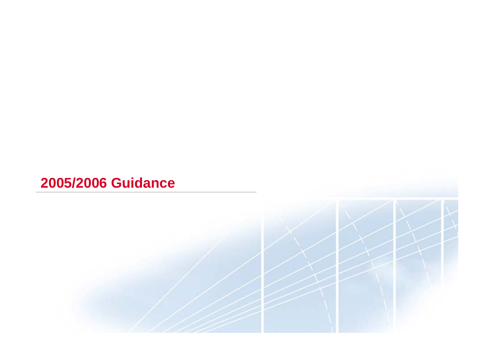### **2005/2006 Guidance**

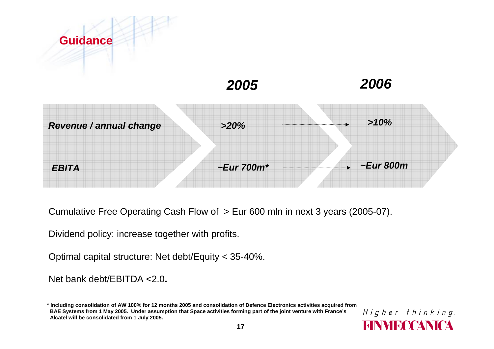

Cumulative Free Operating Cash Flow of > Eur 600 mln in next 3 years (2005-07).

Dividend policy: increase together with profits.

Optimal capital structure: Net debt/Equity < 35-40%.

Net bank debt/EBITDA <2.0**.**

<sup>\*</sup> Including consolidation of AW 100% for 12 months 2005 and consolidation of Defence Electronics activities acquired from BAE Systems from 1 May 2005. Under assumption that Space activities forming part of the joint venture with France's **Alcatel will be consolidated from 1 July 2005.**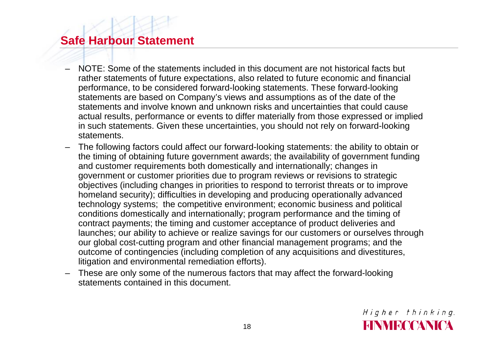### **Safe Harbour Statement**

- NOTE: Some of the statements included in this document are not historical facts but rather statements of future expectations, also related to future economic and financial performance, to be considered forward-looking statements. These forward-looking statements are based on Company's views and assumptions as of the date of the statements and involve known and unknown risks and uncertainties that could cause actual results, performance or events to differ materially from those expressed or implied in such statements. Given these uncertainties, you should not rely on forward-looking statements.
- The following factors could affect our forward-looking statements: the ability to obtain or the timing of obtaining future government awards; the availability of government funding and customer requirements both domestically and internationally; changes in government or customer priorities due to program reviews or revisions to strategic objectives (including changes in priorities to respond to terrorist threats or to improve homeland security); difficulties in developing and producing operationally advanced technology systems; the competitive environment; economic business and political conditions domestically and internationally; program performance and the timing of contract payments; the timing and customer acceptance of product deliveries and launches; our ability to achieve or realize savings for our customers or ourselves through our global cost-cutting program and other financial management programs; and the outcome of contingencies (including completion of any acquisitions and divestitures, litigation and environmental remediation efforts).
- These are only some of the numerous factors that may affect the forward-looking statements contained in this document.